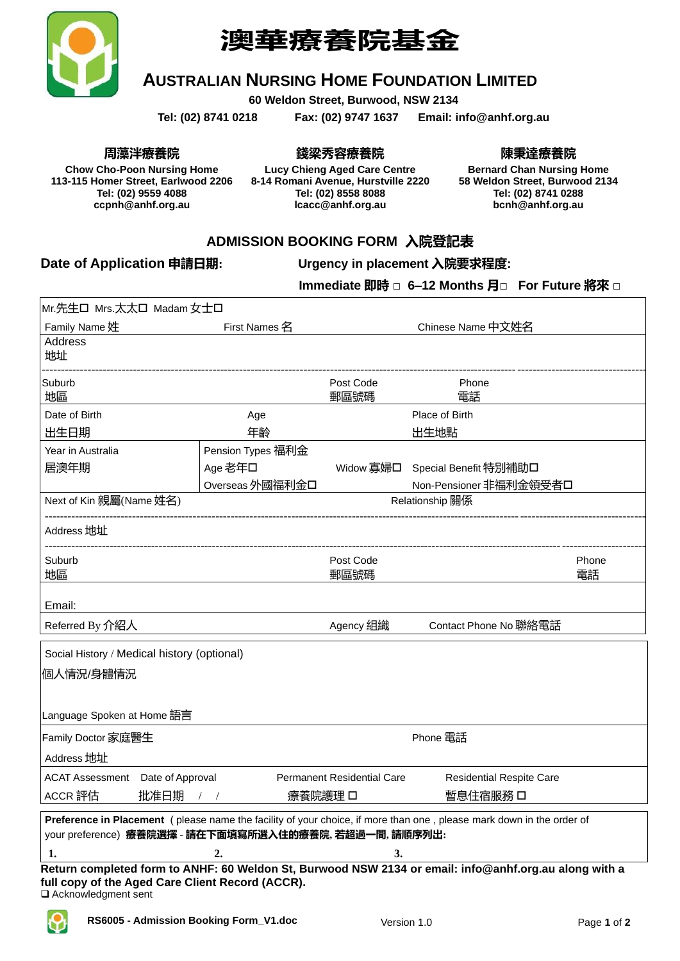

# **澳華療養院基金**

### **AUSTRALIAN NURSING HOME FOUNDATION LIMITED**

**60 Weldon Street, Burwood, NSW 2134**

**Tel: (02) 8741 0218 Fax: (02) 9747 1637 Email: info@anhf.org.au**

**周藻泮療養院**

**Chow Cho-Poon Nursing Home 113-115 Homer Street, Earlwood 2206 Tel: (02) 9559 4088 ccpnh@anhf.org.au**

**錢梁秀容療養院 Lucy Chieng Aged Care Centre 8-14 Romani Avenue, Hurstville 2220 Tel: (02) 8558 8088 lcacc@anhf.org.au**

**陳秉達療養院**

**Bernard Chan Nursing Home 58 Weldon Street, Burwood 2134 Tel: (02) 8741 0288 bcnh@anhf.org.au**

#### **ADMISSION BOOKING FORM 入院登記表**

#### **Date of Application 申請日期: Urgency in placement 入院要求程度:**

**Immediate 即時 □ 6–12 Months 月□ For Future 將來 □**

| Mr.先生口 Mrs.太太口 Madam 女士口                                                                              |                                                           |                                   |                                                                                                                      |       |  |
|-------------------------------------------------------------------------------------------------------|-----------------------------------------------------------|-----------------------------------|----------------------------------------------------------------------------------------------------------------------|-------|--|
| Family Name 姓                                                                                         | First Names 名                                             |                                   | Chinese Name 中文姓名                                                                                                    |       |  |
| Address<br>地址                                                                                         |                                                           |                                   |                                                                                                                      |       |  |
| Suburb<br>地區                                                                                          |                                                           | Post Code<br>郵區號碼                 | Phone<br>電話                                                                                                          |       |  |
| Date of Birth                                                                                         | Age                                                       |                                   | Place of Birth                                                                                                       |       |  |
| 出生日期                                                                                                  | 年齡                                                        |                                   | 出生地點                                                                                                                 |       |  |
| Year in Australia                                                                                     | Pension Types 福利金                                         |                                   |                                                                                                                      |       |  |
| 居澳年期                                                                                                  | Age 老年口                                                   | Widow 寡婦口                         | Special Benefit 特別補助口                                                                                                |       |  |
|                                                                                                       | Overseas 外國福利金口                                           |                                   | Non-Pensioner 非福利金領受者口                                                                                               |       |  |
| Next of Kin 親屬(Name 姓名)                                                                               |                                                           | Relationship 關係                   |                                                                                                                      |       |  |
| Address 地址                                                                                            |                                                           |                                   |                                                                                                                      |       |  |
| Suburb                                                                                                |                                                           | Post Code                         |                                                                                                                      | Phone |  |
| 地區                                                                                                    |                                                           | 郵區號碼                              |                                                                                                                      | 電話    |  |
| Email:                                                                                                |                                                           |                                   |                                                                                                                      |       |  |
| Referred By 介紹人                                                                                       |                                                           | Agency 組織                         | Contact Phone No 聯絡電話                                                                                                |       |  |
| Social History / Medical history (optional)                                                           |                                                           |                                   |                                                                                                                      |       |  |
| 個人情況/身體情況                                                                                             |                                                           |                                   |                                                                                                                      |       |  |
|                                                                                                       |                                                           |                                   |                                                                                                                      |       |  |
| Language Spoken at Home 語言                                                                            |                                                           |                                   |                                                                                                                      |       |  |
| Family Doctor 家庭醫生                                                                                    |                                                           |                                   | Phone 電話                                                                                                             |       |  |
| Address 地址                                                                                            |                                                           |                                   |                                                                                                                      |       |  |
| <b>ACAT Assessment</b> Date of Approval                                                               |                                                           | <b>Permanent Residential Care</b> | <b>Residential Respite Care</b>                                                                                      |       |  |
| ACCR 評估<br>批准日期                                                                                       | 療養院護理 口<br>$\left  \begin{array}{cc} \end{array} \right $ |                                   | 暫息住宿服務 口                                                                                                             |       |  |
| your preference) 療養院選擇 - 請在下面填寫所選入住的療養院, 若超過一間, 請順序列出:                                                |                                                           |                                   | Preference in Placement (please name the facility of your choice, if more than one, please mark down in the order of |       |  |
| 1.                                                                                                    | 2.                                                        | 3.                                |                                                                                                                      |       |  |
| Return completed form to ANHF: 60 Weldon St, Burwood NSW 2134 or email: info@anhf.org.au along with a |                                                           |                                   |                                                                                                                      |       |  |
| full copy of the Aged Care Client Record (ACCR).                                                      |                                                           |                                   |                                                                                                                      |       |  |

❑ Acknowledgment sent